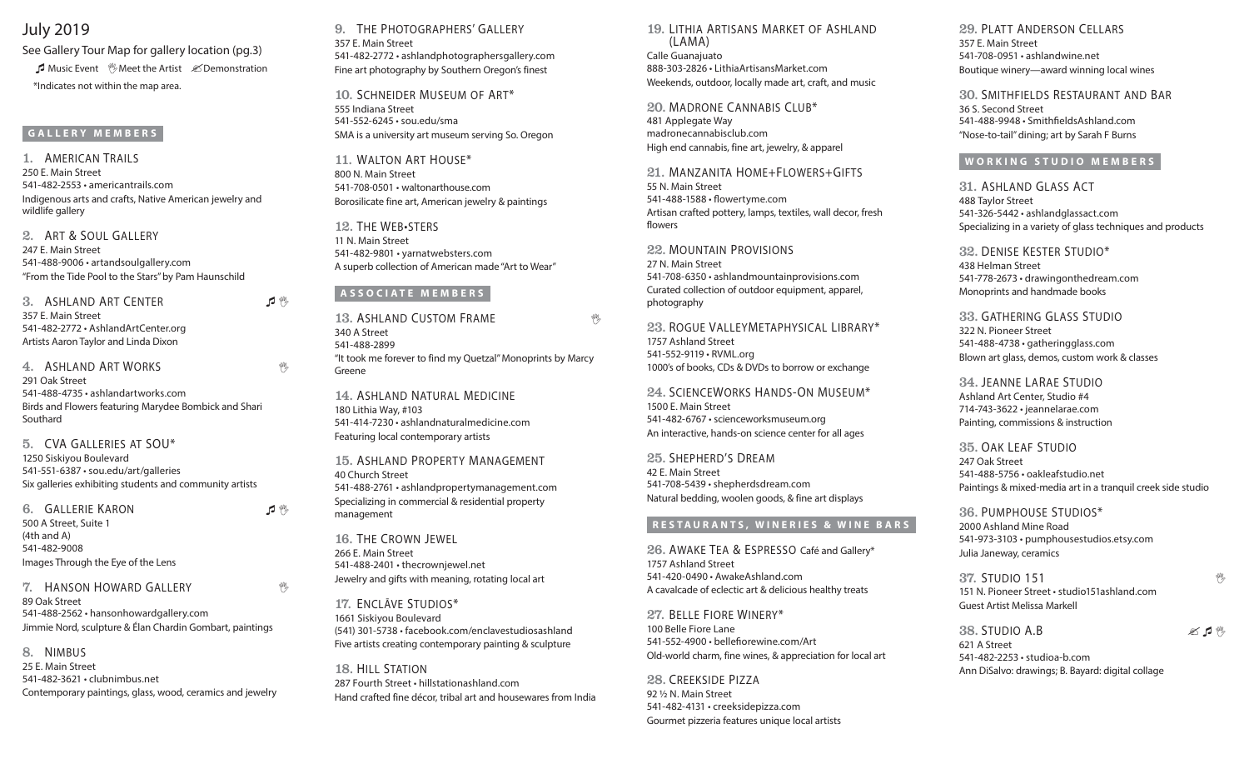# July 2019

See Gallery Tour Map for gallery location (pg.3) **A** Music Event **Meet the Artist**  $\mathscr{L}$  Demonstration \*Indicates not within the map area.

### **GALLERY MEMBERS**

1. American Trails 250 E. Main Street 541-482-2553 • americantrails.com Indigenous arts and crafts, Native American jewelry and wildlife gallery

2. Art & Soul Gallery 247 E. Main Street 541-488-9006 • artandsoulgallery.com "From the Tide Pool to the Stars" by Pam Haunschild

3. ASHLAND ART CENTER 1 1 357 E. Main Street 541-482-2772 • AshlandArtCenter.org Artists Aaron Taylor and Linda Dixon

4. ASHLAND ART WORKS THE RESERVE TO A RESERVE THE RESERVE TO A RESERVE THE RESERVE TO A RESERVE THE RESERVE TO A RESERVE THE RESERVE TO A RESERVE THE RESERVE TO A RESERVE THE RESERVE TO A RESERVE THAT A RESERVE THE RESERVE 291 Oak Street 541-488-4735 • ashlandartworks.com Birds and Flowers featuring Marydee Bombick and Shari Southard

5. CVA Galleries at SOU\* 1250 Siskiyou Boulevard 541-551-6387 • sou.edu/art/galleries Six galleries exhibiting students and community artists

6. GALLERIE KARON 1<sup>%</sup> 500 A Street, Suite 1 (4th and A) 541-482-9008 Images Through the Eye of the Lens

### **7. HANSON HOWARD GALLERY The Second Structure of the Second Structure 1999**

89 Oak Street 541-488-2562 • hansonhowardgallery.com Jimmie Nord, sculpture & Élan Chardin Gombart, paintings

8. Nimbus 25 E. Main Street 541-482-3621 • clubnimbus.net Contemporary paintings, glass, wood, ceramics and jewelry 9. The Photographers' Gallery 357 E. Main Street 541-482-2772 • ashlandphotographersgallery.com Fine art photography by Southern Oregon's finest

10. Schneider Museum of Art\* 555 Indiana Street 541-552-6245 • sou.edu/sma SMA is a university art museum serving So. Oregon

11. WALTON ART HOUSE\* 800 N. Main Street 541-708-0501 • waltonarthouse.com Borosilicate fine art, American jewelry & paintings

12. The Web•sters 11 N. Main Street 541-482-9801 • yarnatwebsters.com A superb collection of American made "Art to Wear"

## **ASSOCIATE MEMBERS**

13. ASHLAND CUSTOM FRAME 340 A Street 541-488-2899 "It took me forever to find my Quetzal" Monoprints by Marcy Greene

14. Ashland Natural Medicine 180 Lithia Way, #103 541-414-7230 • ashlandnaturalmedicine.com Featuring local contemporary artists

15. Ashland Property Management 40 Church Street 541-488-2761 • ashlandpropertymanagement.com Specializing in commercial & residential property management

16. The Crown Jewel 266 E. Main Street 541-488-2401 • thecrownjewel.net Jewelry and gifts with meaning, rotating local art

17. Enclāve Studios\* 1661 Siskiyou Boulevard (541) 301-5738 • facebook.com/enclavestudiosashland Five artists creating contemporary painting & sculpture

18. Hill Station 287 Fourth Street • hillstationashland.com Hand crafted fine décor, tribal art and housewares from India

19. Lithia Artisans Market of Ashland (LAMA) Calle Guanajuato 888-303-2826 • LithiaArtisansMarket.com Weekends, outdoor, locally made art, craft, and music

20. MADRONE CANNABIS CLUB<sup>\*</sup>

481 Applegate Way madronecannabisclub.com High end cannabis, fine art, jewelry, & apparel

21. Manzanita Home+Flowers+Gifts 55 N. Main Street 541-488-1588 • flowertyme.com Artisan crafted pottery, lamps, textiles, wall decor, fresh flowers

22. Mountain Provisions 27 N. Main Street 541-708-6350 • ashlandmountainprovisions.com Curated collection of outdoor equipment, apparel, photography

23. Rogue ValleyMetaphysical Library\* 1757 Ashland Street 541-552-9119 • RVML.org 1000's of books, CDs & DVDs to borrow or exchange

24. ScienceWorks Hands-On Museum\* 1500 E. Main Street 541-482-6767 • scienceworksmuseum.org An interactive, hands-on science center for all ages

25. Shepherd's Dream 42 E. Main Street 541-708-5439 • shepherdsdream.com Natural bedding, woolen goods, & fine art displays

### **RESTAURANTS, WINERIES & WINE BARS**

26. Awake Tea & Espresso Café and Gallery\* 1757 Ashland Street 541-420-0490 • AwakeAshland.com A cavalcade of eclectic art & delicious healthy treats

27. Belle Fiore Winery\* 100 Belle Fiore Lane 541-552-4900 • bellefiorewine.com/Art Old-world charm, fine wines, & appreciation for local art

28. CREEKSIDE PIZZA 92 ½ N. Main Street 541-482-4131 • creeksidepizza.com Gourmet pizzeria features unique local artists 29. Platt Anderson Cellars 357 E. Main Street 541-708-0951 • ashlandwine.net Boutique winery—award winning local wines

30. Smithfields Restaurant and Bar 36 S. Second Street 541-488-9948 • SmithfieldsAshland.com "Nose-to-tail" dining; art by Sarah F Burns

### **WORKING STUDIO MEMBERS**

31. Ashland Glass Act 488 Taylor Street 541-326-5442 • ashlandglassact.com Specializing in a variety of glass techniques and products

32. Denise Kester Studio\* 438 Helman Street 541-778-2673 • drawingonthedream.com Monoprints and handmade books

33. Gathering Glass Studio 322 N. Pioneer Street 541-488-4738 • gatheringglass.com Blown art glass, demos, custom work & classes

34. Jeanne LaRae Studio Ashland Art Center, Studio #4 714-743-3622 • jeannelarae.com Painting, commissions & instruction

35. Oak Leaf Studio 247 Oak Street 541-488-5756 • oakleafstudio.net Paintings & mixed-media art in a tranquil creek side studio

36. Pumphouse Studios\* 2000 Ashland Mine Road 541-973-3103 • pumphousestudios.etsy.com Julia Janeway, ceramics

**37. STUDIO 151** and the set of the set of the set of the set of the set of the set of the set of the set of the set of the set of the set of the set of the set of the set of the set of the set of the set of the set of the 151 N. Pioneer Street • studio151ashland.com Guest Artist Melissa Markell

38. STUDIO A.B  $\mathscr{A}$   $\mathscr{A}$   $\mathscr{N}$ 621 A Street 541-482-2253 • studioa-b.com Ann DiSalvo: drawings; B. Bayard: digital collage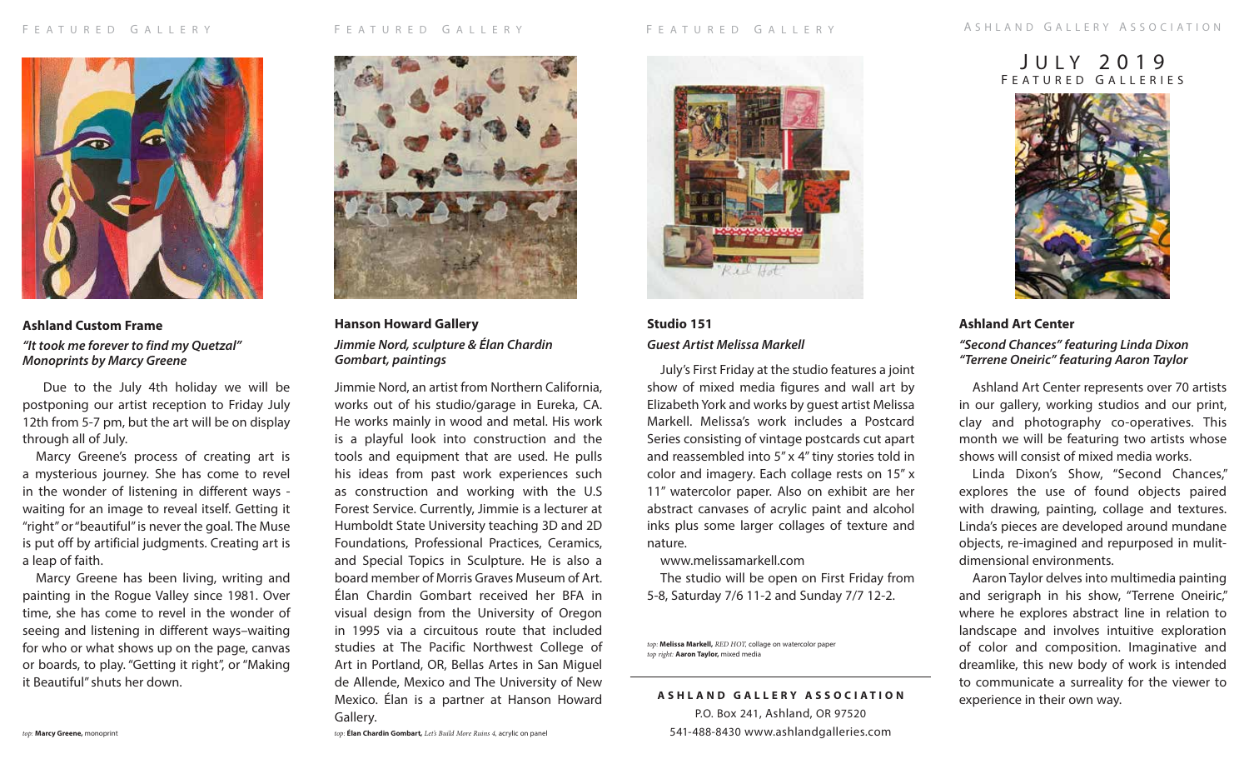

**Ashland Custom Frame** *"It took me forever to find my Quetzal" Monoprints by Marcy Greene*

 Due to the July 4th holiday we will be postponing our artist reception to Friday July 12th from 5-7 pm, but the art will be on display through all of July.

Marcy Greene's process of creating art is a mysterious journey. She has come to revel in the wonder of listening in different ways waiting for an image to reveal itself. Getting it "right" or "beautiful" is never the goal. The Muse is put off by artificial judgments. Creating art is a leap of faith.

Marcy Greene has been living, writing and painting in the Rogue Valley since 1981. Over time, she has come to revel in the wonder of seeing and listening in different ways–waiting for who or what shows up on the page, canvas or boards, to play. "Getting it right", or "Making it Beautiful" shuts her down.



**Hanson Howard Gallery** *Jimmie Nord, sculpture & Élan Chardin Gombart, paintings*

Jimmie Nord, an artist from Northern California, works out of his studio/garage in Eureka, CA. He works mainly in wood and metal. His work is a playful look into construction and the tools and equipment that are used. He pulls his ideas from past work experiences such as construction and working with the U.S Forest Service. Currently, Jimmie is a lecturer at Humboldt State University teaching 3D and 2D Foundations, Professional Practices, Ceramics, and Special Topics in Sculpture. He is also a board member of Morris Graves Museum of Art. Élan Chardin Gombart received her BFA in visual design from the University of Oregon in 1995 via a circuitous route that included studies at The Pacific Northwest College of Art in Portland, OR, Bellas Artes in San Miguel de Allende, Mexico and The University of New Mexico. Élan is a partner at Hanson Howard Gallery.

# J u l y 2 0 1 9 FEATURED GALLERIES



## **Ashland Art Center** *"Second Chances" featuring Linda Dixon "Terrene Oneiric" featuring Aaron Taylor*

Ashland Art Center represents over 70 artists in our gallery, working studios and our print, clay and photography co-operatives. This month we will be featuring two artists whose shows will consist of mixed media works.

Linda Dixon's Show, "Second Chances," explores the use of found objects paired with drawing, painting, collage and textures. Linda's pieces are developed around mundane objects, re-imagined and repurposed in mulitdimensional environments.

Aaron Taylor delves into multimedia painting and serigraph in his show, "Terrene Oneiric," where he explores abstract line in relation to landscape and involves intuitive exploration of color and composition. Imaginative and dreamlike, this new body of work is intended to communicate a surreality for the viewer to experience in their own way.

# **Studio 151**  *Guest Artist Melissa Markell*

July's First Friday at the studio features a joint show of mixed media figures and wall art by Elizabeth York and works by guest artist Melissa Markell. Melissa's work includes a Postcard Series consisting of vintage postcards cut apart and reassembled into 5" x 4" tiny stories told in color and imagery. Each collage rests on 15" x 11" watercolor paper. Also on exhibit are her abstract canvases of acrylic paint and alcohol inks plus some larger collages of texture and nature.

www.melissamarkell.com

The studio will be open on First Friday from 5-8, Saturday 7/6 11-2 and Sunday 7/7 12-2.

*top:* **Melissa Markell,** *RED HOT,* collage on watercolor paper *top right:* **Aaron Taylor,** mixed media

**ASHLAND GALLERY ASSOCIATION** P.O. Box 241, Ashland, OR 97520 541-488-8430 www.ashlandgalleries.com